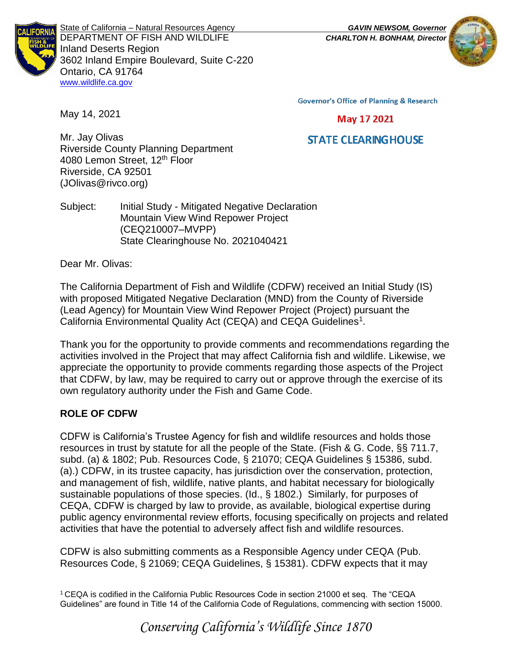

State of California – Natural Resources Agency *GAVIN NEWSOM, Governor* DEPARTMENT OF FISH AND WILDLIFE *CHARLTON H. BONHAM, Director*  Inland Deserts Region 3602 Inland Empire Boulevard, Suite C-220 Ontario, CA 91764 [www.wildlife.ca.gov](http://www.cdfw.ca.gov/)



**Governor's Office of Planning & Research** 

#### May 17 2021

# **STATE CLEARING HOUSE**

Mr. Jay Olivas Riverside County Planning Department 4080 Lemon Street, 12<sup>th</sup> Floor Riverside, CA 92501 (JOlivas@rivco.org)

Subject: Initial Study - Mitigated Negative Declaration Mountain View Wind Repower Project (CEQ210007–MVPP) State Clearinghouse No. 2021040421

Dear Mr. Olivas:

May 14, 2021

The California Department of Fish and Wildlife (CDFW) received an Initial Study (IS) with proposed Mitigated Negative Declaration (MND) from the County of Riverside (Lead Agency) for Mountain View Wind Repower Project (Project) pursuant the California Environmental Quality Act (CEQA) and CEQA Guidelines<sup>1</sup>.

Thank you for the opportunity to provide comments and recommendations regarding the activities involved in the Project that may affect California fish and wildlife. Likewise, we appreciate the opportunity to provide comments regarding those aspects of the Project that CDFW, by law, may be required to carry out or approve through the exercise of its own regulatory authority under the Fish and Game Code.

# **ROLE OF CDFW**

CDFW is California's Trustee Agency for fish and wildlife resources and holds those resources in trust by statute for all the people of the State. (Fish & G. Code, §§ 711.7, subd. (a) & 1802; Pub. Resources Code, § 21070; CEQA Guidelines § 15386, subd. (a).) CDFW, in its trustee capacity, has jurisdiction over the conservation, protection, and management of fish, wildlife, native plants, and habitat necessary for biologically sustainable populations of those species. (Id., § 1802.) Similarly, for purposes of CEQA, CDFW is charged by law to provide, as available, biological expertise during public agency environmental review efforts, focusing specifically on projects and related activities that have the potential to adversely affect fish and wildlife resources.

CDFW is also submitting comments as a Responsible Agency under CEQA (Pub. Resources Code, § 21069; CEQA Guidelines, § 15381). CDFW expects that it may

<sup>1</sup> CEQA is codified in the California Public Resources Code in section 21000 et seq. The "CEQA Guidelines" are found in Title 14 of the California Code of Regulations, commencing with section 15000.

*Conserving California's Wildlife Since 1870*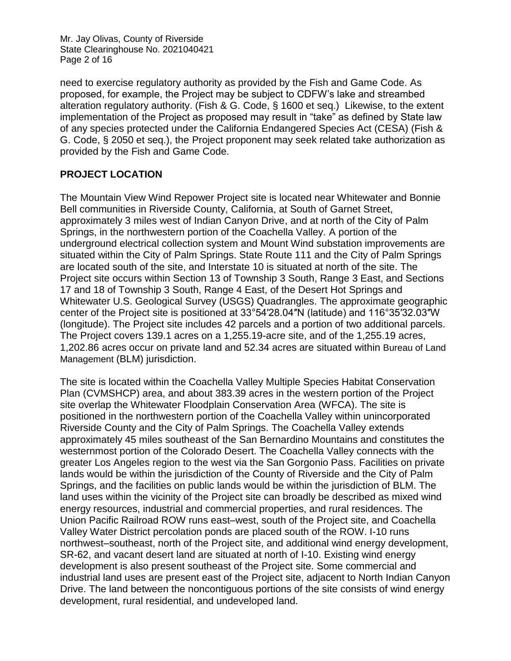Mr. Jay Olivas, County of Riverside State Clearinghouse No. 2021040421 Page 2 of 16

need to exercise regulatory authority as provided by the Fish and Game Code. As proposed, for example, the Project may be subject to CDFW's lake and streambed alteration regulatory authority. (Fish & G. Code, § 1600 et seq.) Likewise, to the extent implementation of the Project as proposed may result in "take" as defined by State law of any species protected under the California Endangered Species Act (CESA) (Fish & G. Code, § 2050 et seq.), the Project proponent may seek related take authorization as provided by the Fish and Game Code.

# **PROJECT LOCATION**

The Mountain View Wind Repower Project site is located near Whitewater and Bonnie Bell communities in Riverside County, California, at South of Garnet Street, approximately 3 miles west of Indian Canyon Drive, and at north of the City of Palm Springs, in the northwestern portion of the Coachella Valley. A portion of the underground electrical collection system and Mount Wind substation improvements are situated within the City of Palm Springs. State Route 111 and the City of Palm Springs are located south of the site, and Interstate 10 is situated at north of the site. The Project site occurs within Section 13 of Township 3 South, Range 3 East, and Sections 17 and 18 of Township 3 South, Range 4 East, of the Desert Hot Springs and Whitewater U.S. Geological Survey (USGS) Quadrangles. The approximate geographic center of the Project site is positioned at 33°54′28.04″N (latitude) and 116°35′32.03″W (longitude). The Project site includes 42 parcels and a portion of two additional parcels. The Project covers 139.1 acres on a 1,255.19-acre site, and of the 1,255.19 acres, 1,202.86 acres occur on private land and 52.34 acres are situated within Bureau of Land Management (BLM) jurisdiction.

The site is located within the Coachella Valley Multiple Species Habitat Conservation Plan (CVMSHCP) area, and about 383.39 acres in the western portion of the Project site overlap the Whitewater Floodplain Conservation Area (WFCA). The site is positioned in the northwestern portion of the Coachella Valley within unincorporated Riverside County and the City of Palm Springs. The Coachella Valley extends approximately 45 miles southeast of the San Bernardino Mountains and constitutes the westernmost portion of the Colorado Desert. The Coachella Valley connects with the greater Los Angeles region to the west via the San Gorgonio Pass. Facilities on private lands would be within the jurisdiction of the County of Riverside and the City of Palm Springs, and the facilities on public lands would be within the jurisdiction of BLM. The land uses within the vicinity of the Project site can broadly be described as mixed wind energy resources, industrial and commercial properties, and rural residences. The Union Pacific Railroad ROW runs east–west, south of the Project site, and Coachella Valley Water District percolation ponds are placed south of the ROW. I-10 runs northwest–southeast, north of the Project site, and additional wind energy development, SR-62, and vacant desert land are situated at north of I-10. Existing wind energy development is also present southeast of the Project site. Some commercial and industrial land uses are present east of the Project site, adjacent to North Indian Canyon Drive. The land between the noncontiguous portions of the site consists of wind energy development, rural residential, and undeveloped land.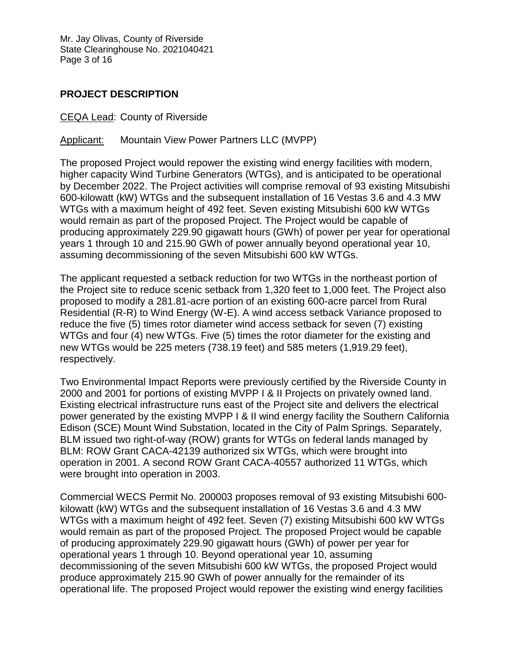Mr. Jay Olivas, County of Riverside State Clearinghouse No. 2021040421 Page 3 of 16

### **PROJECT DESCRIPTION**

#### CEQA Lead: County of Riverside

#### Applicant: Mountain View Power Partners LLC (MVPP)

The proposed Project would repower the existing wind energy facilities with modern, higher capacity Wind Turbine Generators (WTGs), and is anticipated to be operational by December 2022. The Project activities will comprise removal of 93 existing Mitsubishi 600-kilowatt (kW) WTGs and the subsequent installation of 16 Vestas 3.6 and 4.3 MW WTGs with a maximum height of 492 feet. Seven existing Mitsubishi 600 kW WTGs would remain as part of the proposed Project. The Project would be capable of producing approximately 229.90 gigawatt hours (GWh) of power per year for operational years 1 through 10 and 215.90 GWh of power annually beyond operational year 10, assuming decommissioning of the seven Mitsubishi 600 kW WTGs.

The applicant requested a setback reduction for two WTGs in the northeast portion of the Project site to reduce scenic setback from 1,320 feet to 1,000 feet. The Project also proposed to modify a 281.81-acre portion of an existing 600-acre parcel from Rural Residential (R-R) to Wind Energy (W-E). A wind access setback Variance proposed to reduce the five (5) times rotor diameter wind access setback for seven (7) existing WTGs and four (4) new WTGs. Five (5) times the rotor diameter for the existing and new WTGs would be 225 meters (738.19 feet) and 585 meters (1,919.29 feet), respectively.

Two Environmental Impact Reports were previously certified by the Riverside County in 2000 and 2001 for portions of existing MVPP I & II Projects on privately owned land. Existing electrical infrastructure runs east of the Project site and delivers the electrical power generated by the existing MVPP I & II wind energy facility the Southern California Edison (SCE) Mount Wind Substation, located in the City of Palm Springs. Separately, BLM issued two right-of-way (ROW) grants for WTGs on federal lands managed by BLM: ROW Grant CACA-42139 authorized six WTGs, which were brought into operation in 2001. A second ROW Grant CACA-40557 authorized 11 WTGs, which were brought into operation in 2003.

Commercial WECS Permit No. 200003 proposes removal of 93 existing Mitsubishi 600 kilowatt (kW) WTGs and the subsequent installation of 16 Vestas 3.6 and 4.3 MW WTGs with a maximum height of 492 feet. Seven (7) existing Mitsubishi 600 kW WTGs would remain as part of the proposed Project. The proposed Project would be capable of producing approximately 229.90 gigawatt hours (GWh) of power per year for operational years 1 through 10. Beyond operational year 10, assuming decommissioning of the seven Mitsubishi 600 kW WTGs, the proposed Project would produce approximately 215.90 GWh of power annually for the remainder of its operational life. The proposed Project would repower the existing wind energy facilities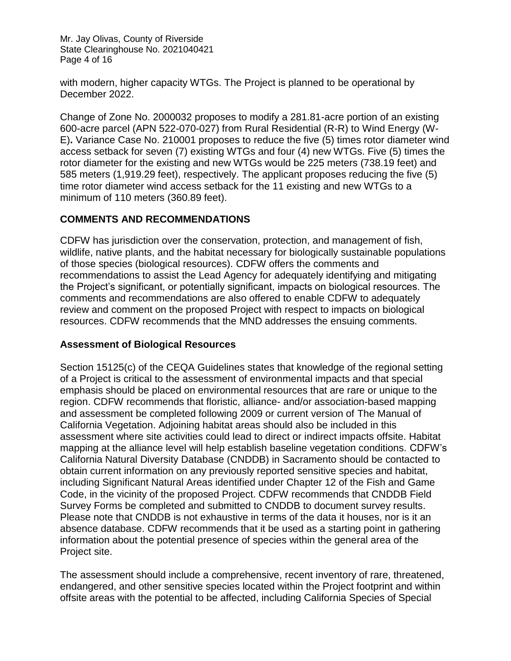Mr. Jay Olivas, County of Riverside State Clearinghouse No. 2021040421 Page 4 of 16

with modern, higher capacity WTGs. The Project is planned to be operational by December 2022.

Change of Zone No. 2000032 proposes to modify a 281.81-acre portion of an existing 600-acre parcel (APN 522-070-027) from Rural Residential (R-R) to Wind Energy (W-E)**.** Variance Case No. 210001 proposes to reduce the five (5) times rotor diameter wind access setback for seven (7) existing WTGs and four (4) new WTGs. Five (5) times the rotor diameter for the existing and new WTGs would be 225 meters (738.19 feet) and 585 meters (1,919.29 feet), respectively. The applicant proposes reducing the five (5) time rotor diameter wind access setback for the 11 existing and new WTGs to a minimum of 110 meters (360.89 feet).

# **COMMENTS AND RECOMMENDATIONS**

CDFW has jurisdiction over the conservation, protection, and management of fish, wildlife, native plants, and the habitat necessary for biologically sustainable populations of those species (biological resources). CDFW offers the comments and recommendations to assist the Lead Agency for adequately identifying and mitigating the Project's significant, or potentially significant, impacts on biological resources. The comments and recommendations are also offered to enable CDFW to adequately review and comment on the proposed Project with respect to impacts on biological resources. CDFW recommends that the MND addresses the ensuing comments.

# **Assessment of Biological Resources**

Section 15125(c) of the CEQA Guidelines states that knowledge of the regional setting of a Project is critical to the assessment of environmental impacts and that special emphasis should be placed on environmental resources that are rare or unique to the region. CDFW recommends that floristic, alliance- and/or association-based mapping and assessment be completed following 2009 or current version of The Manual of California Vegetation. Adjoining habitat areas should also be included in this assessment where site activities could lead to direct or indirect impacts offsite. Habitat mapping at the alliance level will help establish baseline vegetation conditions. CDFW's California Natural Diversity Database (CNDDB) in Sacramento should be contacted to obtain current information on any previously reported sensitive species and habitat, including Significant Natural Areas identified under Chapter 12 of the Fish and Game Code, in the vicinity of the proposed Project. CDFW recommends that CNDDB Field Survey Forms be completed and submitted to CNDDB to document survey results. Please note that CNDDB is not exhaustive in terms of the data it houses, nor is it an absence database. CDFW recommends that it be used as a starting point in gathering information about the potential presence of species within the general area of the Project site.

The assessment should include a comprehensive, recent inventory of rare, threatened, endangered, and other sensitive species located within the Project footprint and within offsite areas with the potential to be affected, including California Species of Special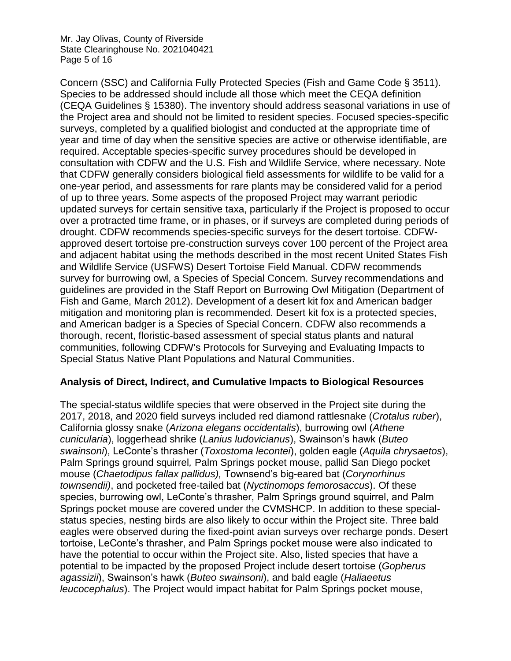Mr. Jay Olivas, County of Riverside State Clearinghouse No. 2021040421 Page 5 of 16

Concern (SSC) and California Fully Protected Species (Fish and Game Code § 3511). Species to be addressed should include all those which meet the CEQA definition (CEQA Guidelines § 15380). The inventory should address seasonal variations in use of the Project area and should not be limited to resident species. Focused species-specific surveys, completed by a qualified biologist and conducted at the appropriate time of year and time of day when the sensitive species are active or otherwise identifiable, are required. Acceptable species-specific survey procedures should be developed in consultation with CDFW and the U.S. Fish and Wildlife Service, where necessary. Note that CDFW generally considers biological field assessments for wildlife to be valid for a one-year period, and assessments for rare plants may be considered valid for a period of up to three years. Some aspects of the proposed Project may warrant periodic updated surveys for certain sensitive taxa, particularly if the Project is proposed to occur over a protracted time frame, or in phases, or if surveys are completed during periods of drought. CDFW recommends species-specific surveys for the desert tortoise. CDFWapproved desert tortoise pre-construction surveys cover 100 percent of the Project area and adjacent habitat using the methods described in the most recent United States Fish and Wildlife Service (USFWS) Desert Tortoise Field Manual. CDFW recommends survey for burrowing owl, a Species of Special Concern. Survey recommendations and guidelines are provided in the Staff Report on Burrowing Owl Mitigation (Department of Fish and Game, March 2012). Development of a desert kit fox and American badger mitigation and monitoring plan is recommended. Desert kit fox is a protected species, and American badger is a Species of Special Concern. CDFW also recommends a thorough, recent, floristic-based assessment of special status plants and natural communities, following CDFW's Protocols for Surveying and Evaluating Impacts to Special Status Native Plant Populations and Natural Communities.

#### **Analysis of Direct, Indirect, and Cumulative Impacts to Biological Resources**

The special-status wildlife species that were observed in the Project site during the 2017, 2018, and 2020 field surveys included red diamond rattlesnake (*Crotalus ruber*), California glossy snake (*Arizona elegans occidentalis*), burrowing owl (*Athene cunicularia*), loggerhead shrike (*Lanius ludovicianus*), Swainson's hawk (*Buteo swainsoni*), LeConte's thrasher (*Toxostoma lecontei*), golden eagle (*Aquila chrysaetos*), Palm Springs ground squirrel*,* Palm Springs pocket mouse, pallid San Diego pocket mouse (*Chaetodipus fallax pallidus),* Townsend's big-eared bat (*Corynorhinus townsendii)*, and pocketed free-tailed bat (*Nyctinomops femorosaccus*). Of these species, burrowing owl, LeConte's thrasher, Palm Springs ground squirrel, and Palm Springs pocket mouse are covered under the CVMSHCP. In addition to these specialstatus species, nesting birds are also likely to occur within the Project site. Three bald eagles were observed during the fixed-point avian surveys over recharge ponds. Desert tortoise, LeConte's thrasher, and Palm Springs pocket mouse were also indicated to have the potential to occur within the Project site. Also, listed species that have a potential to be impacted by the proposed Project include desert tortoise (*Gopherus agassizii*), Swainson's hawk (*Buteo swainsoni*), and bald eagle (*Haliaeetus leucocephalus*). The Project would impact habitat for Palm Springs pocket mouse,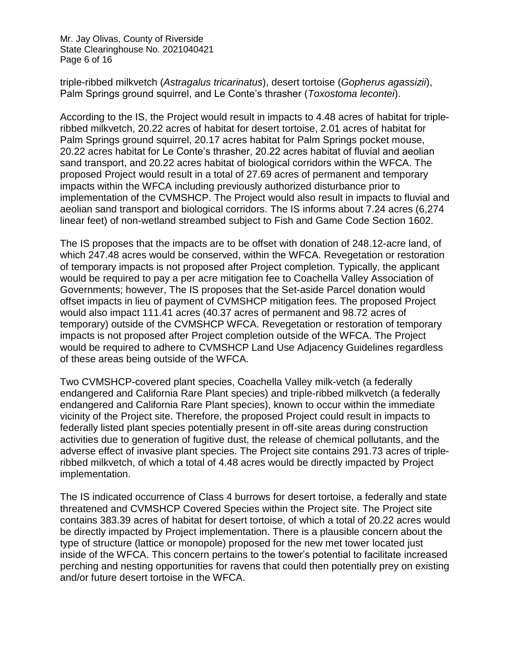Mr. Jay Olivas, County of Riverside State Clearinghouse No. 2021040421 Page 6 of 16

triple-ribbed milkvetch (*Astragalus tricarinatus*), desert tortoise (*Gopherus agassizii*), Palm Springs ground squirrel, and Le Conte's thrasher (*Toxostoma lecontei*).

According to the IS, the Project would result in impacts to 4.48 acres of habitat for tripleribbed milkvetch, 20.22 acres of habitat for desert tortoise, 2.01 acres of habitat for Palm Springs ground squirrel, 20.17 acres habitat for Palm Springs pocket mouse, 20.22 acres habitat for Le Conte's thrasher, 20.22 acres habitat of fluvial and aeolian sand transport, and 20.22 acres habitat of biological corridors within the WFCA. The proposed Project would result in a total of 27.69 acres of permanent and temporary impacts within the WFCA including previously authorized disturbance prior to implementation of the CVMSHCP. The Project would also result in impacts to fluvial and aeolian sand transport and biological corridors. The IS informs about 7.24 acres (6,274 linear feet) of non-wetland streambed subject to Fish and Game Code Section 1602.

The IS proposes that the impacts are to be offset with donation of 248.12-acre land, of which 247.48 acres would be conserved, within the WFCA. Revegetation or restoration of temporary impacts is not proposed after Project completion. Typically, the applicant would be required to pay a per acre mitigation fee to Coachella Valley Association of Governments; however, The IS proposes that the Set-aside Parcel donation would offset impacts in lieu of payment of CVMSHCP mitigation fees. The proposed Project would also impact 111.41 acres (40.37 acres of permanent and 98.72 acres of temporary) outside of the CVMSHCP WFCA. Revegetation or restoration of temporary impacts is not proposed after Project completion outside of the WFCA. The Project would be required to adhere to CVMSHCP Land Use Adjacency Guidelines regardless of these areas being outside of the WFCA.

Two CVMSHCP-covered plant species, Coachella Valley milk-vetch (a federally endangered and California Rare Plant species) and triple-ribbed milkvetch (a federally endangered and California Rare Plant species), known to occur within the immediate vicinity of the Project site. Therefore, the proposed Project could result in impacts to federally listed plant species potentially present in off-site areas during construction activities due to generation of fugitive dust, the release of chemical pollutants, and the adverse effect of invasive plant species. The Project site contains 291.73 acres of tripleribbed milkvetch, of which a total of 4.48 acres would be directly impacted by Project implementation.

The IS indicated occurrence of Class 4 burrows for desert tortoise, a federally and state threatened and CVMSHCP Covered Species within the Project site. The Project site contains 383.39 acres of habitat for desert tortoise, of which a total of 20.22 acres would be directly impacted by Project implementation. There is a plausible concern about the type of structure (lattice or monopole) proposed for the new met tower located just inside of the WFCA. This concern pertains to the tower's potential to facilitate increased perching and nesting opportunities for ravens that could then potentially prey on existing and/or future desert tortoise in the WFCA.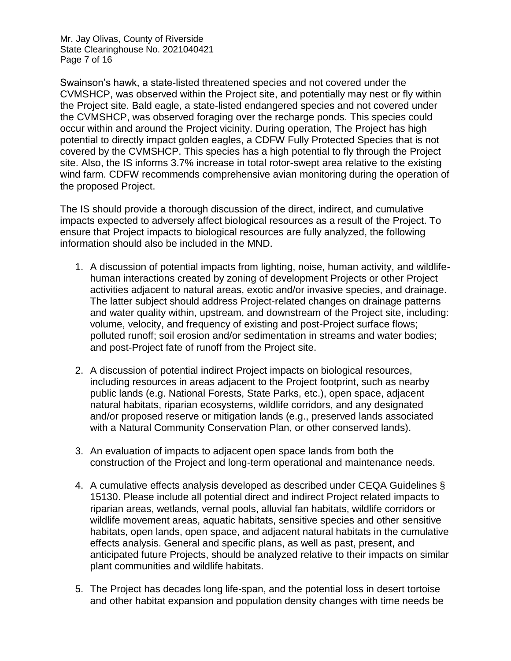Mr. Jay Olivas, County of Riverside State Clearinghouse No. 2021040421 Page 7 of 16

Swainson's hawk, a state-listed threatened species and not covered under the CVMSHCP, was observed within the Project site, and potentially may nest or fly within the Project site. Bald eagle, a state-listed endangered species and not covered under the CVMSHCP, was observed foraging over the recharge ponds. This species could occur within and around the Project vicinity. During operation, The Project has high potential to directly impact golden eagles, a CDFW Fully Protected Species that is not covered by the CVMSHCP. This species has a high potential to fly through the Project site. Also, the IS informs 3.7% increase in total rotor-swept area relative to the existing wind farm. CDFW recommends comprehensive avian monitoring during the operation of the proposed Project.

The IS should provide a thorough discussion of the direct, indirect, and cumulative impacts expected to adversely affect biological resources as a result of the Project. To ensure that Project impacts to biological resources are fully analyzed, the following information should also be included in the MND.

- 1. A discussion of potential impacts from lighting, noise, human activity, and wildlifehuman interactions created by zoning of development Projects or other Project activities adjacent to natural areas, exotic and/or invasive species, and drainage. The latter subject should address Project-related changes on drainage patterns and water quality within, upstream, and downstream of the Project site, including: volume, velocity, and frequency of existing and post-Project surface flows; polluted runoff; soil erosion and/or sedimentation in streams and water bodies; and post-Project fate of runoff from the Project site.
- 2. A discussion of potential indirect Project impacts on biological resources, including resources in areas adjacent to the Project footprint, such as nearby public lands (e.g. National Forests, State Parks, etc.), open space, adjacent natural habitats, riparian ecosystems, wildlife corridors, and any designated and/or proposed reserve or mitigation lands (e.g., preserved lands associated with a Natural Community Conservation Plan, or other conserved lands).
- 3. An evaluation of impacts to adjacent open space lands from both the construction of the Project and long-term operational and maintenance needs.
- 4. A cumulative effects analysis developed as described under CEQA Guidelines § 15130. Please include all potential direct and indirect Project related impacts to riparian areas, wetlands, vernal pools, alluvial fan habitats, wildlife corridors or wildlife movement areas, aquatic habitats, sensitive species and other sensitive habitats, open lands, open space, and adjacent natural habitats in the cumulative effects analysis. General and specific plans, as well as past, present, and anticipated future Projects, should be analyzed relative to their impacts on similar plant communities and wildlife habitats.
- 5. The Project has decades long life-span, and the potential loss in desert tortoise and other habitat expansion and population density changes with time needs be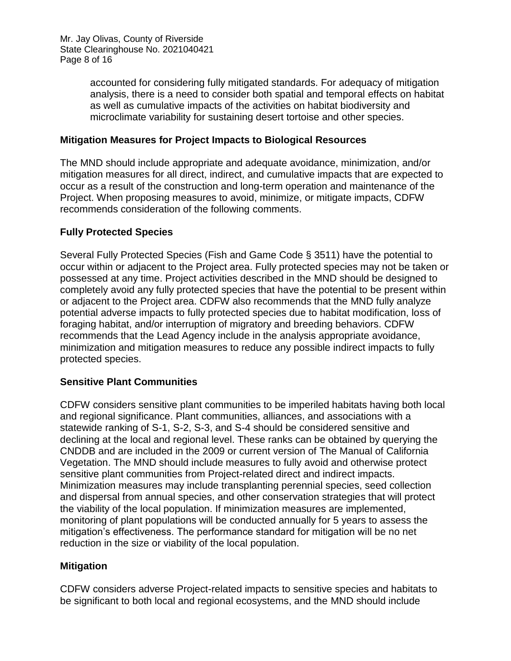accounted for considering fully mitigated standards. For adequacy of mitigation analysis, there is a need to consider both spatial and temporal effects on habitat as well as cumulative impacts of the activities on habitat biodiversity and microclimate variability for sustaining desert tortoise and other species.

### **Mitigation Measures for Project Impacts to Biological Resources**

The MND should include appropriate and adequate avoidance, minimization, and/or mitigation measures for all direct, indirect, and cumulative impacts that are expected to occur as a result of the construction and long-term operation and maintenance of the Project. When proposing measures to avoid, minimize, or mitigate impacts, CDFW recommends consideration of the following comments.

### **Fully Protected Species**

Several Fully Protected Species (Fish and Game Code § 3511) have the potential to occur within or adjacent to the Project area. Fully protected species may not be taken or possessed at any time. Project activities described in the MND should be designed to completely avoid any fully protected species that have the potential to be present within or adjacent to the Project area. CDFW also recommends that the MND fully analyze potential adverse impacts to fully protected species due to habitat modification, loss of foraging habitat, and/or interruption of migratory and breeding behaviors. CDFW recommends that the Lead Agency include in the analysis appropriate avoidance, minimization and mitigation measures to reduce any possible indirect impacts to fully protected species.

# **Sensitive Plant Communities**

CDFW considers sensitive plant communities to be imperiled habitats having both local and regional significance. Plant communities, alliances, and associations with a statewide ranking of S-1, S-2, S-3, and S-4 should be considered sensitive and declining at the local and regional level. These ranks can be obtained by querying the CNDDB and are included in the 2009 or current version of The Manual of California Vegetation. The MND should include measures to fully avoid and otherwise protect sensitive plant communities from Project-related direct and indirect impacts. Minimization measures may include transplanting perennial species, seed collection and dispersal from annual species, and other conservation strategies that will protect the viability of the local population. If minimization measures are implemented, monitoring of plant populations will be conducted annually for 5 years to assess the mitigation's effectiveness. The performance standard for mitigation will be no net reduction in the size or viability of the local population.

#### **Mitigation**

CDFW considers adverse Project-related impacts to sensitive species and habitats to be significant to both local and regional ecosystems, and the MND should include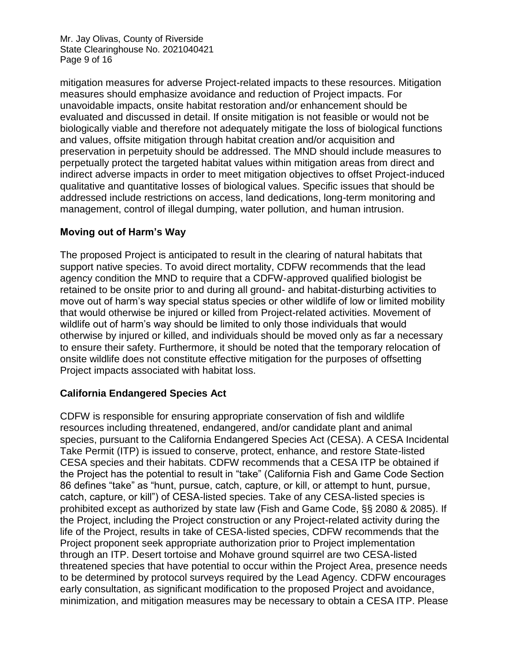Mr. Jay Olivas, County of Riverside State Clearinghouse No. 2021040421 Page 9 of 16

mitigation measures for adverse Project-related impacts to these resources. Mitigation measures should emphasize avoidance and reduction of Project impacts. For unavoidable impacts, onsite habitat restoration and/or enhancement should be evaluated and discussed in detail. If onsite mitigation is not feasible or would not be biologically viable and therefore not adequately mitigate the loss of biological functions and values, offsite mitigation through habitat creation and/or acquisition and preservation in perpetuity should be addressed. The MND should include measures to perpetually protect the targeted habitat values within mitigation areas from direct and indirect adverse impacts in order to meet mitigation objectives to offset Project-induced qualitative and quantitative losses of biological values. Specific issues that should be addressed include restrictions on access, land dedications, long-term monitoring and management, control of illegal dumping, water pollution, and human intrusion.

# **Moving out of Harm's Way**

The proposed Project is anticipated to result in the clearing of natural habitats that support native species. To avoid direct mortality, CDFW recommends that the lead agency condition the MND to require that a CDFW-approved qualified biologist be retained to be onsite prior to and during all ground- and habitat-disturbing activities to move out of harm's way special status species or other wildlife of low or limited mobility that would otherwise be injured or killed from Project-related activities. Movement of wildlife out of harm's way should be limited to only those individuals that would otherwise by injured or killed, and individuals should be moved only as far a necessary to ensure their safety. Furthermore, it should be noted that the temporary relocation of onsite wildlife does not constitute effective mitigation for the purposes of offsetting Project impacts associated with habitat loss.

#### **California Endangered Species Act**

CDFW is responsible for ensuring appropriate conservation of fish and wildlife resources including threatened, endangered, and/or candidate plant and animal species, pursuant to the California Endangered Species Act (CESA). A CESA Incidental Take Permit (ITP) is issued to conserve, protect, enhance, and restore State-listed CESA species and their habitats. CDFW recommends that a CESA ITP be obtained if the Project has the potential to result in "take" (California Fish and Game Code Section 86 defines "take" as "hunt, pursue, catch, capture, or kill, or attempt to hunt, pursue, catch, capture, or kill") of CESA-listed species. Take of any CESA-listed species is prohibited except as authorized by state law (Fish and Game Code, §§ 2080 & 2085). If the Project, including the Project construction or any Project-related activity during the life of the Project, results in take of CESA-listed species, CDFW recommends that the Project proponent seek appropriate authorization prior to Project implementation through an ITP. Desert tortoise and Mohave ground squirrel are two CESA-listed threatened species that have potential to occur within the Project Area, presence needs to be determined by protocol surveys required by the Lead Agency. CDFW encourages early consultation, as significant modification to the proposed Project and avoidance, minimization, and mitigation measures may be necessary to obtain a CESA ITP. Please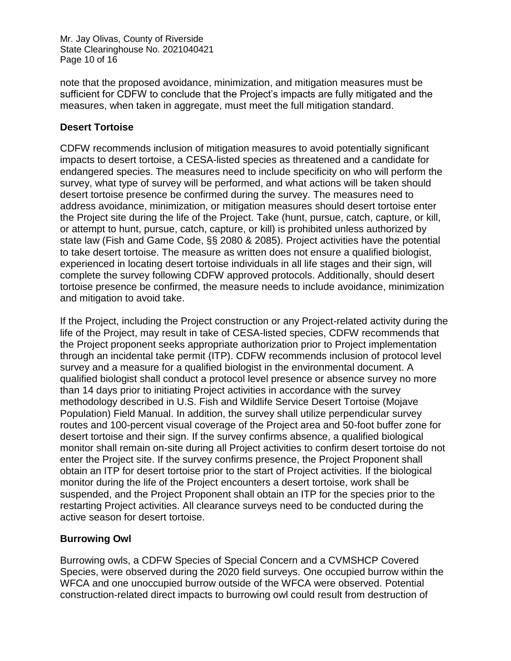Mr. Jay Olivas, County of Riverside State Clearinghouse No. 2021040421 Page 10 of 16

note that the proposed avoidance, minimization, and mitigation measures must be sufficient for CDFW to conclude that the Project's impacts are fully mitigated and the measures, when taken in aggregate, must meet the full mitigation standard.

### **Desert Tortoise**

CDFW recommends inclusion of mitigation measures to avoid potentially significant impacts to desert tortoise, a CESA-listed species as threatened and a candidate for endangered species. The measures need to include specificity on who will perform the survey, what type of survey will be performed, and what actions will be taken should desert tortoise presence be confirmed during the survey. The measures need to address avoidance, minimization, or mitigation measures should desert tortoise enter the Project site during the life of the Project. Take (hunt, pursue, catch, capture, or kill, or attempt to hunt, pursue, catch, capture, or kill) is prohibited unless authorized by state law (Fish and Game Code, §§ 2080 & 2085). Project activities have the potential to take desert tortoise. The measure as written does not ensure a qualified biologist, experienced in locating desert tortoise individuals in all life stages and their sign, will complete the survey following CDFW approved protocols. Additionally, should desert tortoise presence be confirmed, the measure needs to include avoidance, minimization and mitigation to avoid take.

If the Project, including the Project construction or any Project-related activity during the life of the Project, may result in take of CESA-listed species, CDFW recommends that the Project proponent seeks appropriate authorization prior to Project implementation through an incidental take permit (ITP). CDFW recommends inclusion of protocol level survey and a measure for a qualified biologist in the environmental document. A qualified biologist shall conduct a protocol level presence or absence survey no more than 14 days prior to initiating Project activities in accordance with the survey methodology described in U.S. Fish and Wildlife Service Desert Tortoise (Mojave Population) Field Manual. In addition, the survey shall utilize perpendicular survey routes and 100-percent visual coverage of the Project area and 50-foot buffer zone for desert tortoise and their sign. If the survey confirms absence, a qualified biological monitor shall remain on-site during all Project activities to confirm desert tortoise do not enter the Project site. If the survey confirms presence, the Project Proponent shall obtain an ITP for desert tortoise prior to the start of Project activities. If the biological monitor during the life of the Project encounters a desert tortoise, work shall be suspended, and the Project Proponent shall obtain an ITP for the species prior to the restarting Project activities. All clearance surveys need to be conducted during the active season for desert tortoise.

# **Burrowing Owl**

Burrowing owls, a CDFW Species of Special Concern and a CVMSHCP Covered Species, were observed during the 2020 field surveys. One occupied burrow within the WFCA and one unoccupied burrow outside of the WFCA were observed. Potential construction-related direct impacts to burrowing owl could result from destruction of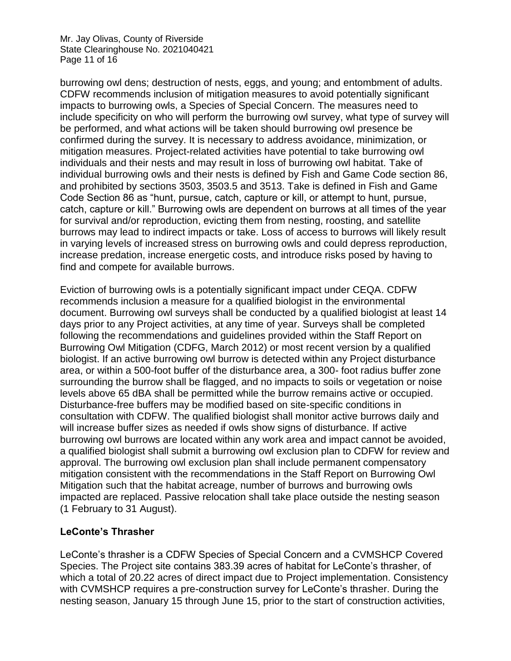Mr. Jay Olivas, County of Riverside State Clearinghouse No. 2021040421 Page 11 of 16

burrowing owl dens; destruction of nests, eggs, and young; and entombment of adults. CDFW recommends inclusion of mitigation measures to avoid potentially significant impacts to burrowing owls, a Species of Special Concern. The measures need to include specificity on who will perform the burrowing owl survey, what type of survey will be performed, and what actions will be taken should burrowing owl presence be confirmed during the survey. It is necessary to address avoidance, minimization, or mitigation measures. Project-related activities have potential to take burrowing owl individuals and their nests and may result in loss of burrowing owl habitat. Take of individual burrowing owls and their nests is defined by Fish and Game Code section 86, and prohibited by sections 3503, 3503.5 and 3513. Take is defined in Fish and Game Code Section 86 as "hunt, pursue, catch, capture or kill, or attempt to hunt, pursue, catch, capture or kill." Burrowing owls are dependent on burrows at all times of the year for survival and/or reproduction, evicting them from nesting, roosting, and satellite burrows may lead to indirect impacts or take. Loss of access to burrows will likely result in varying levels of increased stress on burrowing owls and could depress reproduction, increase predation, increase energetic costs, and introduce risks posed by having to find and compete for available burrows.

Eviction of burrowing owls is a potentially significant impact under CEQA. CDFW recommends inclusion a measure for a qualified biologist in the environmental document. Burrowing owl surveys shall be conducted by a qualified biologist at least 14 days prior to any Project activities, at any time of year. Surveys shall be completed following the recommendations and guidelines provided within the Staff Report on Burrowing Owl Mitigation (CDFG, March 2012) or most recent version by a qualified biologist. If an active burrowing owl burrow is detected within any Project disturbance area, or within a 500-foot buffer of the disturbance area, a 300- foot radius buffer zone surrounding the burrow shall be flagged, and no impacts to soils or vegetation or noise levels above 65 dBA shall be permitted while the burrow remains active or occupied. Disturbance-free buffers may be modified based on site-specific conditions in consultation with CDFW. The qualified biologist shall monitor active burrows daily and will increase buffer sizes as needed if owls show signs of disturbance. If active burrowing owl burrows are located within any work area and impact cannot be avoided, a qualified biologist shall submit a burrowing owl exclusion plan to CDFW for review and approval. The burrowing owl exclusion plan shall include permanent compensatory mitigation consistent with the recommendations in the Staff Report on Burrowing Owl Mitigation such that the habitat acreage, number of burrows and burrowing owls impacted are replaced. Passive relocation shall take place outside the nesting season (1 February to 31 August).

# **LeConte's Thrasher**

LeConte's thrasher is a CDFW Species of Special Concern and a CVMSHCP Covered Species. The Project site contains 383.39 acres of habitat for LeConte's thrasher, of which a total of 20.22 acres of direct impact due to Project implementation. Consistency with CVMSHCP requires a pre-construction survey for LeConte's thrasher. During the nesting season, January 15 through June 15, prior to the start of construction activities,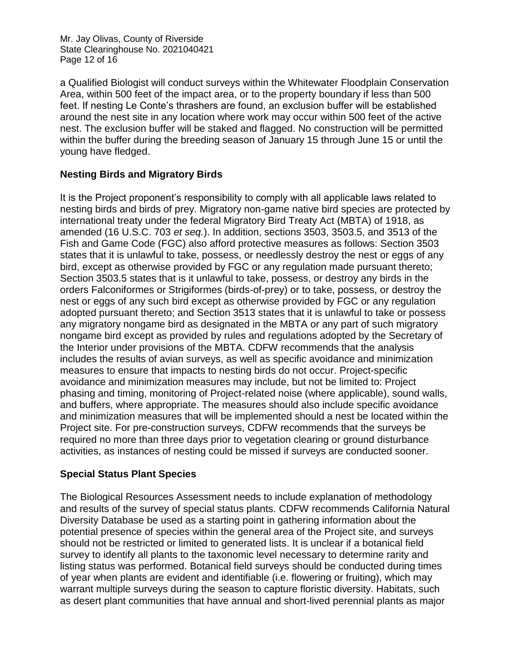Mr. Jay Olivas, County of Riverside State Clearinghouse No. 2021040421 Page 12 of 16

a Qualified Biologist will conduct surveys within the Whitewater Floodplain Conservation Area, within 500 feet of the impact area, or to the property boundary if less than 500 feet. If nesting Le Conte's thrashers are found, an exclusion buffer will be established around the nest site in any location where work may occur within 500 feet of the active nest. The exclusion buffer will be staked and flagged. No construction will be permitted within the buffer during the breeding season of January 15 through June 15 or until the young have fledged.

# **Nesting Birds and Migratory Birds**

It is the Project proponent's responsibility to comply with all applicable laws related to nesting birds and birds of prey. Migratory non-game native bird species are protected by international treaty under the federal Migratory Bird Treaty Act (MBTA) of 1918, as amended (16 U.S.C. 703 *et seq.*). In addition, sections 3503, 3503.5, and 3513 of the Fish and Game Code (FGC) also afford protective measures as follows: Section 3503 states that it is unlawful to take, possess, or needlessly destroy the nest or eggs of any bird, except as otherwise provided by FGC or any regulation made pursuant thereto; Section 3503.5 states that is it unlawful to take, possess, or destroy any birds in the orders Falconiformes or Strigiformes (birds-of-prey) or to take, possess, or destroy the nest or eggs of any such bird except as otherwise provided by FGC or any regulation adopted pursuant thereto; and Section 3513 states that it is unlawful to take or possess any migratory nongame bird as designated in the MBTA or any part of such migratory nongame bird except as provided by rules and regulations adopted by the Secretary of the Interior under provisions of the MBTA. CDFW recommends that the analysis includes the results of avian surveys, as well as specific avoidance and minimization measures to ensure that impacts to nesting birds do not occur. Project-specific avoidance and minimization measures may include, but not be limited to: Project phasing and timing, monitoring of Project-related noise (where applicable), sound walls, and buffers, where appropriate. The measures should also include specific avoidance and minimization measures that will be implemented should a nest be located within the Project site. For pre-construction surveys, CDFW recommends that the surveys be required no more than three days prior to vegetation clearing or ground disturbance activities, as instances of nesting could be missed if surveys are conducted sooner.

# **Special Status Plant Species**

The Biological Resources Assessment needs to include explanation of methodology and results of the survey of special status plants. CDFW recommends California Natural Diversity Database be used as a starting point in gathering information about the potential presence of species within the general area of the Project site, and surveys should not be restricted or limited to generated lists. It is unclear if a botanical field survey to identify all plants to the taxonomic level necessary to determine rarity and listing status was performed. Botanical field surveys should be conducted during times of year when plants are evident and identifiable (i.e. flowering or fruiting), which may warrant multiple surveys during the season to capture floristic diversity. Habitats, such as desert plant communities that have annual and short-lived perennial plants as major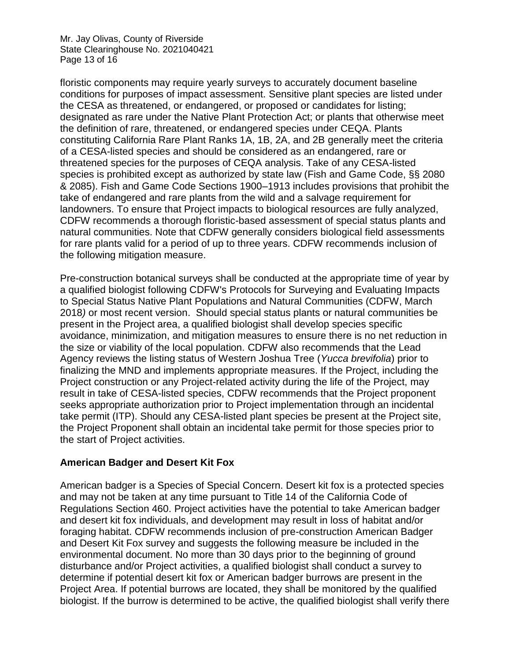Mr. Jay Olivas, County of Riverside State Clearinghouse No. 2021040421 Page 13 of 16

floristic components may require yearly surveys to accurately document baseline conditions for purposes of impact assessment. Sensitive plant species are listed under the CESA as threatened, or endangered, or proposed or candidates for listing; designated as rare under the Native Plant Protection Act; or plants that otherwise meet the definition of rare, threatened, or endangered species under CEQA. Plants constituting California Rare Plant Ranks 1A, 1B, 2A, and 2B generally meet the criteria of a CESA-listed species and should be considered as an endangered, rare or threatened species for the purposes of CEQA analysis. Take of any CESA-listed species is prohibited except as authorized by state law (Fish and Game Code, §§ 2080 & 2085). Fish and Game Code Sections 1900–1913 includes provisions that prohibit the take of endangered and rare plants from the wild and a salvage requirement for landowners. To ensure that Project impacts to biological resources are fully analyzed, CDFW recommends a thorough floristic-based assessment of special status plants and natural communities. Note that CDFW generally considers biological field assessments for rare plants valid for a period of up to three years. CDFW recommends inclusion of the following mitigation measure.

Pre-construction botanical surveys shall be conducted at the appropriate time of year by a qualified biologist following CDFW's Protocols for Surveying and Evaluating Impacts to Special Status Native Plant Populations and Natural Communities (CDFW, March 2018*)* or most recent version. Should special status plants or natural communities be present in the Project area, a qualified biologist shall develop species specific avoidance, minimization, and mitigation measures to ensure there is no net reduction in the size or viability of the local population. CDFW also recommends that the Lead Agency reviews the listing status of Western Joshua Tree (*Yucca brevifolia*) prior to finalizing the MND and implements appropriate measures. If the Project, including the Project construction or any Project-related activity during the life of the Project, may result in take of CESA-listed species, CDFW recommends that the Project proponent seeks appropriate authorization prior to Project implementation through an incidental take permit (ITP). Should any CESA-listed plant species be present at the Project site, the Project Proponent shall obtain an incidental take permit for those species prior to the start of Project activities.

#### **American Badger and Desert Kit Fox**

American badger is a Species of Special Concern. Desert kit fox is a protected species and may not be taken at any time pursuant to Title 14 of the California Code of Regulations Section 460. Project activities have the potential to take American badger and desert kit fox individuals, and development may result in loss of habitat and/or foraging habitat. CDFW recommends inclusion of pre-construction American Badger and Desert Kit Fox survey and suggests the following measure be included in the environmental document. No more than 30 days prior to the beginning of ground disturbance and/or Project activities, a qualified biologist shall conduct a survey to determine if potential desert kit fox or American badger burrows are present in the Project Area. If potential burrows are located, they shall be monitored by the qualified biologist. If the burrow is determined to be active, the qualified biologist shall verify there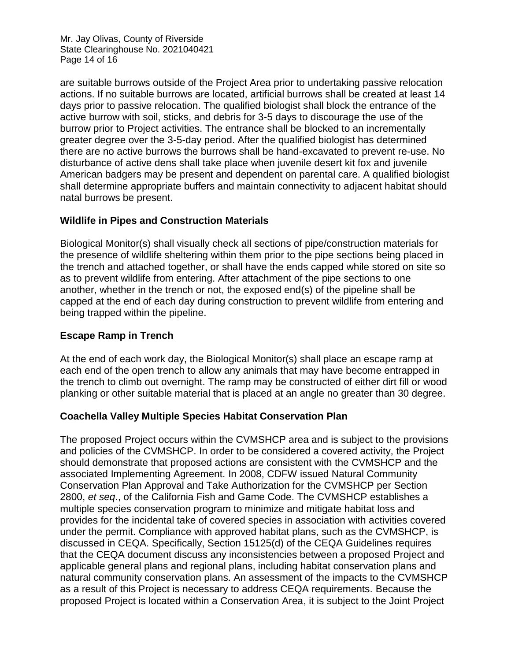Mr. Jay Olivas, County of Riverside State Clearinghouse No. 2021040421 Page 14 of 16

are suitable burrows outside of the Project Area prior to undertaking passive relocation actions. If no suitable burrows are located, artificial burrows shall be created at least 14 days prior to passive relocation. The qualified biologist shall block the entrance of the active burrow with soil, sticks, and debris for 3-5 days to discourage the use of the burrow prior to Project activities. The entrance shall be blocked to an incrementally greater degree over the 3-5-day period. After the qualified biologist has determined there are no active burrows the burrows shall be hand-excavated to prevent re-use. No disturbance of active dens shall take place when juvenile desert kit fox and juvenile American badgers may be present and dependent on parental care. A qualified biologist shall determine appropriate buffers and maintain connectivity to adjacent habitat should natal burrows be present.

#### **Wildlife in Pipes and Construction Materials**

Biological Monitor(s) shall visually check all sections of pipe/construction materials for the presence of wildlife sheltering within them prior to the pipe sections being placed in the trench and attached together, or shall have the ends capped while stored on site so as to prevent wildlife from entering. After attachment of the pipe sections to one another, whether in the trench or not, the exposed end(s) of the pipeline shall be capped at the end of each day during construction to prevent wildlife from entering and being trapped within the pipeline.

### **Escape Ramp in Trench**

At the end of each work day, the Biological Monitor(s) shall place an escape ramp at each end of the open trench to allow any animals that may have become entrapped in the trench to climb out overnight. The ramp may be constructed of either dirt fill or wood planking or other suitable material that is placed at an angle no greater than 30 degree.

# **Coachella Valley Multiple Species Habitat Conservation Plan**

The proposed Project occurs within the CVMSHCP area and is subject to the provisions and policies of the CVMSHCP. In order to be considered a covered activity, the Project should demonstrate that proposed actions are consistent with the CVMSHCP and the associated Implementing Agreement. In 2008, CDFW issued Natural Community Conservation Plan Approval and Take Authorization for the CVMSHCP per Section 2800, *et seq*., of the California Fish and Game Code. The CVMSHCP establishes a multiple species conservation program to minimize and mitigate habitat loss and provides for the incidental take of covered species in association with activities covered under the permit. Compliance with approved habitat plans, such as the CVMSHCP, is discussed in CEQA. Specifically, Section 15125(d) of the CEQA Guidelines requires that the CEQA document discuss any inconsistencies between a proposed Project and applicable general plans and regional plans, including habitat conservation plans and natural community conservation plans. An assessment of the impacts to the CVMSHCP as a result of this Project is necessary to address CEQA requirements. Because the proposed Project is located within a Conservation Area, it is subject to the Joint Project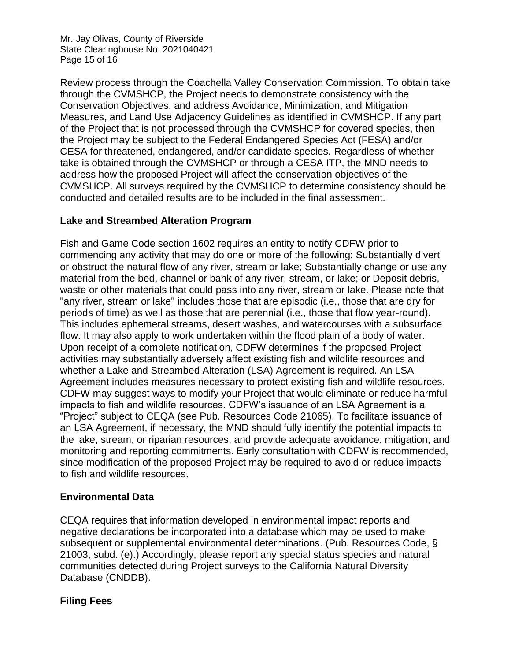Mr. Jay Olivas, County of Riverside State Clearinghouse No. 2021040421 Page 15 of 16

Review process through the Coachella Valley Conservation Commission. To obtain take through the CVMSHCP, the Project needs to demonstrate consistency with the Conservation Objectives, and address Avoidance, Minimization, and Mitigation Measures, and Land Use Adjacency Guidelines as identified in CVMSHCP. If any part of the Project that is not processed through the CVMSHCP for covered species, then the Project may be subject to the Federal Endangered Species Act (FESA) and/or CESA for threatened, endangered, and/or candidate species. Regardless of whether take is obtained through the CVMSHCP or through a CESA ITP, the MND needs to address how the proposed Project will affect the conservation objectives of the CVMSHCP. All surveys required by the CVMSHCP to determine consistency should be conducted and detailed results are to be included in the final assessment.

### **Lake and Streambed Alteration Program**

Fish and Game Code section 1602 requires an entity to notify CDFW prior to commencing any activity that may do one or more of the following: Substantially divert or obstruct the natural flow of any river, stream or lake; Substantially change or use any material from the bed, channel or bank of any river, stream, or lake; or Deposit debris, waste or other materials that could pass into any river, stream or lake. Please note that "any river, stream or lake" includes those that are episodic (i.e., those that are dry for periods of time) as well as those that are perennial (i.e., those that flow year-round). This includes ephemeral streams, desert washes, and watercourses with a subsurface flow. It may also apply to work undertaken within the flood plain of a body of water. Upon receipt of a complete notification, CDFW determines if the proposed Project activities may substantially adversely affect existing fish and wildlife resources and whether a Lake and Streambed Alteration (LSA) Agreement is required. An LSA Agreement includes measures necessary to protect existing fish and wildlife resources. CDFW may suggest ways to modify your Project that would eliminate or reduce harmful impacts to fish and wildlife resources. CDFW's issuance of an LSA Agreement is a "Project" subject to CEQA (see Pub. Resources Code 21065). To facilitate issuance of an LSA Agreement, if necessary, the MND should fully identify the potential impacts to the lake, stream, or riparian resources, and provide adequate avoidance, mitigation, and monitoring and reporting commitments. Early consultation with CDFW is recommended, since modification of the proposed Project may be required to avoid or reduce impacts to fish and wildlife resources.

#### **Environmental Data**

CEQA requires that information developed in environmental impact reports and negative declarations be incorporated into a database which may be used to make subsequent or supplemental environmental determinations. (Pub. Resources Code, § 21003, subd. (e).) Accordingly, please report any special status species and natural communities detected during Project surveys to the California Natural Diversity Database (CNDDB).

# **Filing Fees**